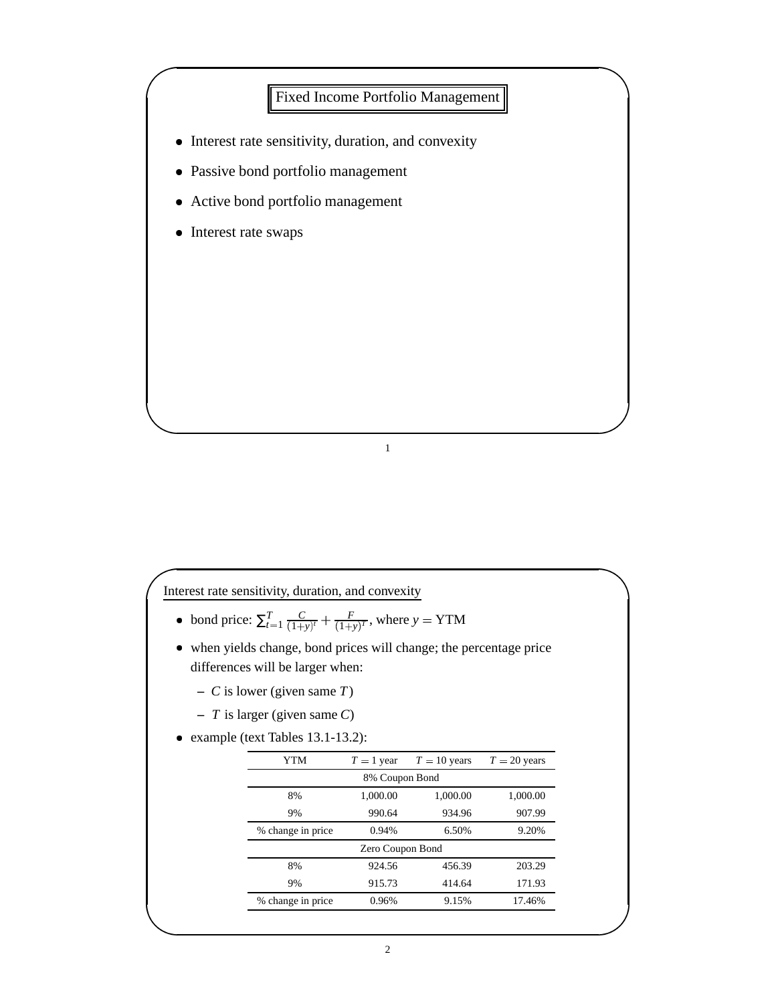

Interest rate sensitivity, duration, and convexity

- bond price:  $\sum_{t=1}^{T} \frac{C}{(1+y)}$  $\frac{C}{(1+y)^r} + \frac{F}{(1+y)^T}$ , where  $\frac{F}{1+y)^T}$ , where  $y = YTM$
- when yields change, bond prices will change; the percentage price differences will be larger when:
	- **–** *C* is lower (given same *T*)
	- **–** *T* is larger (given same *C*)
- example (text Tables 13.1-13.2):

| YTM               | $T = 1$ year     | $T = 10$ years | $T = 20$ years |
|-------------------|------------------|----------------|----------------|
|                   | 8% Coupon Bond   |                |                |
| 8%                | 1,000.00         | 1,000.00       | 1,000.00       |
| 9%                | 990.64           | 934.96         | 907.99         |
| % change in price | 0.94%            | 6.50%          | 9.20%          |
|                   | Zero Coupon Bond |                |                |
| 8%                | 924.56           | 456.39         | 203.29         |
| 9%                | 915.73           | 414.64         | 171.93         |
| % change in price | 0.96%            | 9.15%          | 17.46%         |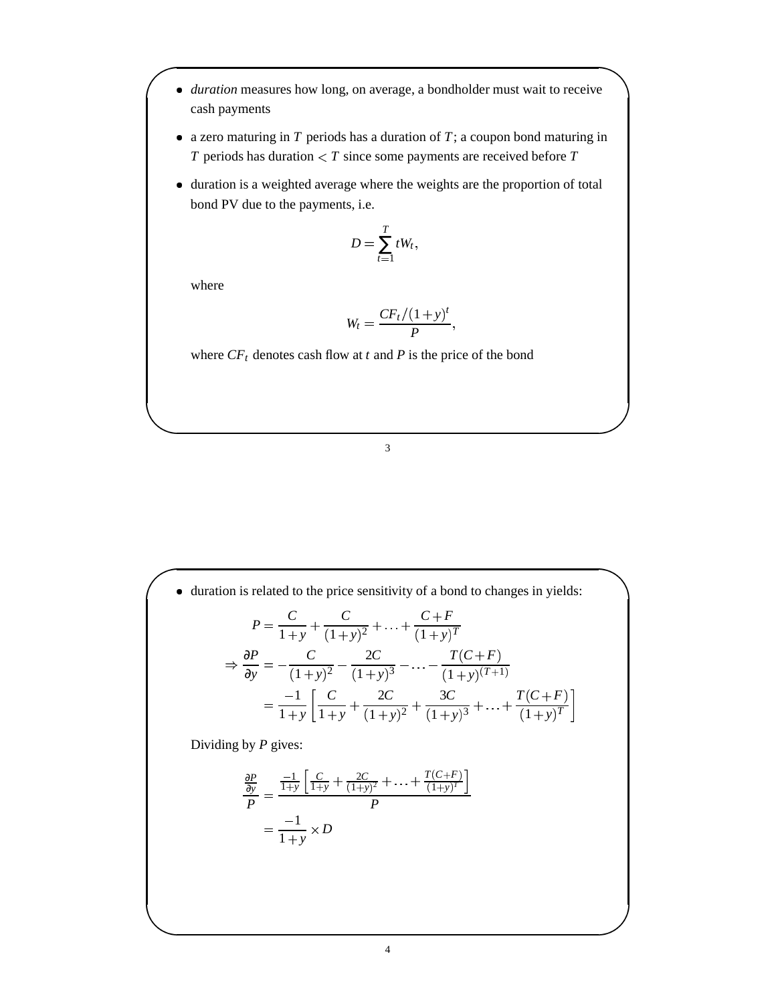- *duration* measures how long, on average, a bondholder must wait to receive cash payments
- a zero maturing in *T* periods has a duration of *T*; a coupon bond maturing in *T* periods has duration  $\lt T$  since some payments are received before *T*
- duration is a weighted average where the weights are the proportion of total bond PV due to the payments, i.e.

$$
D=\sum_{t=1}^T tW_t,
$$

where

$$
W_t = \frac{CF_t/(1+y)^t}{P},
$$

where  $CF_t$  denotes cash flow at *t* and *P* is the price of the bond

3

 duration is related to the price sensitivity of a bond to changes in yields:  $P = \frac{C}{1} + \frac{C}{(1)}$  $\frac{C}{1+y} + \frac{C}{(1+y)^2} + \ldots + \frac{C+F}{(1+y)^T}$  $\frac{C+F}{(1+y)^T}$ 

$$
\Rightarrow \frac{\partial P}{\partial y} = -\frac{C}{(1+y)^2} - \frac{2C}{(1+y)^3} - \dots - \frac{T(C+F)}{(1+y)(T+1)}
$$

$$
= \frac{-1}{1+y} \left[ \frac{C}{1+y} + \frac{2C}{(1+y)^2} + \frac{3C}{(1+y)^3} + \dots + \frac{T(C+F)}{(1+y)^T} \right]
$$

Dividing by *P* gives:

$$
\frac{\frac{\partial P}{\partial y}}{P} = \frac{\frac{-1}{1+y} \left[ \frac{C}{1+y} + \frac{2C}{(1+y)^2} + \ldots + \frac{T(C+F)}{(1+y)^T} \right]}{P}
$$

$$
= \frac{-1}{1+y} \times D
$$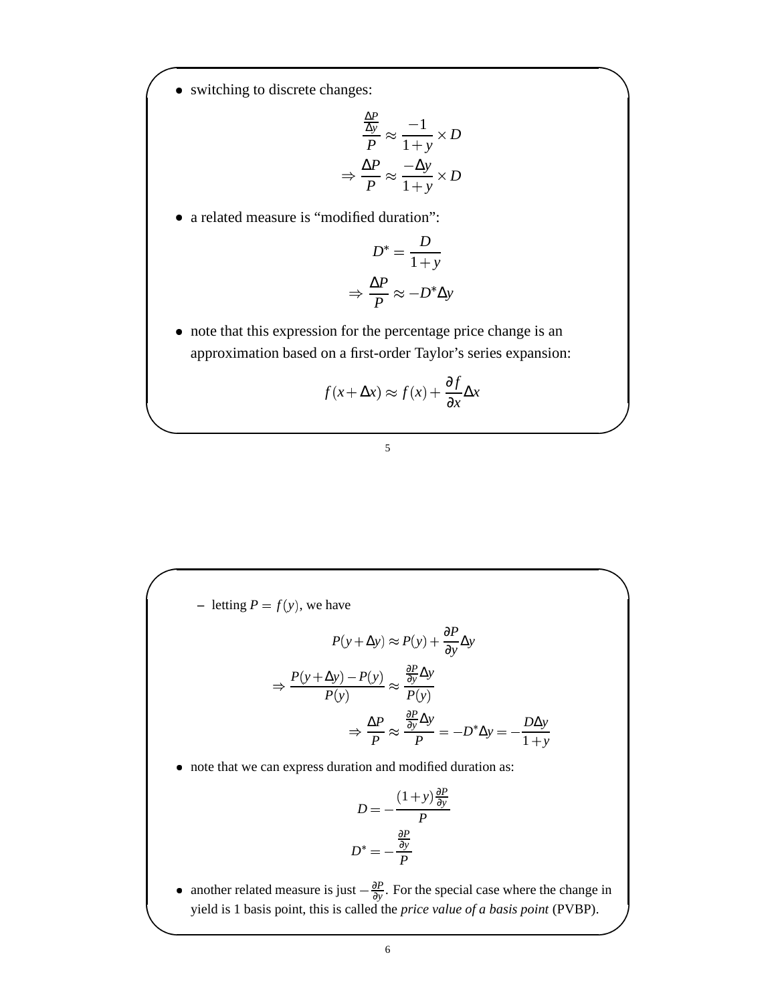• switching to discrete changes:

$$
\frac{\frac{\Delta P}{\Delta y}}{P} \approx \frac{-1}{1+y} \times D
$$

$$
\Rightarrow \frac{\Delta P}{P} \approx \frac{-\Delta y}{1+y} \times D
$$

a related measure is "modified duration":

$$
D^* = \frac{D}{1+y}
$$

$$
\Rightarrow \frac{\Delta P}{P} \approx -D^* \Delta y
$$

 note that this expression for the percentage price change is an approximation based on a first-order Taylor's series expansion:

$$
f(x + \Delta x) \approx f(x) + \frac{\partial f}{\partial x} \Delta x
$$

## 5

 $\blacksquare$  letting  $P = f(y)$ , we have

$$
P(y + \Delta y) \approx P(y) + \frac{\partial P}{\partial y} \Delta y
$$

$$
\Rightarrow \frac{P(y + \Delta y) - P(y)}{P(y)} \approx \frac{\frac{\partial P}{\partial y} \Delta y}{P(y)}
$$

$$
\Rightarrow \frac{\Delta P}{P} \approx \frac{\frac{\partial P}{\partial y} \Delta y}{P} = -D^* \Delta y = -\frac{D \Delta y}{1 + y}
$$

note that we can express duration and modified duration as:

$$
D = -\frac{(1+y)\frac{\partial P}{\partial y}}{P}
$$

$$
D^* = -\frac{\frac{\partial P}{\partial y}}{P}
$$

∂*P*

• another related measure is just  $-\frac{\partial P}{\partial y}$ . For the special case where the change in yield is 1 basis point, this is called the *price value of a basis point* (PVBP).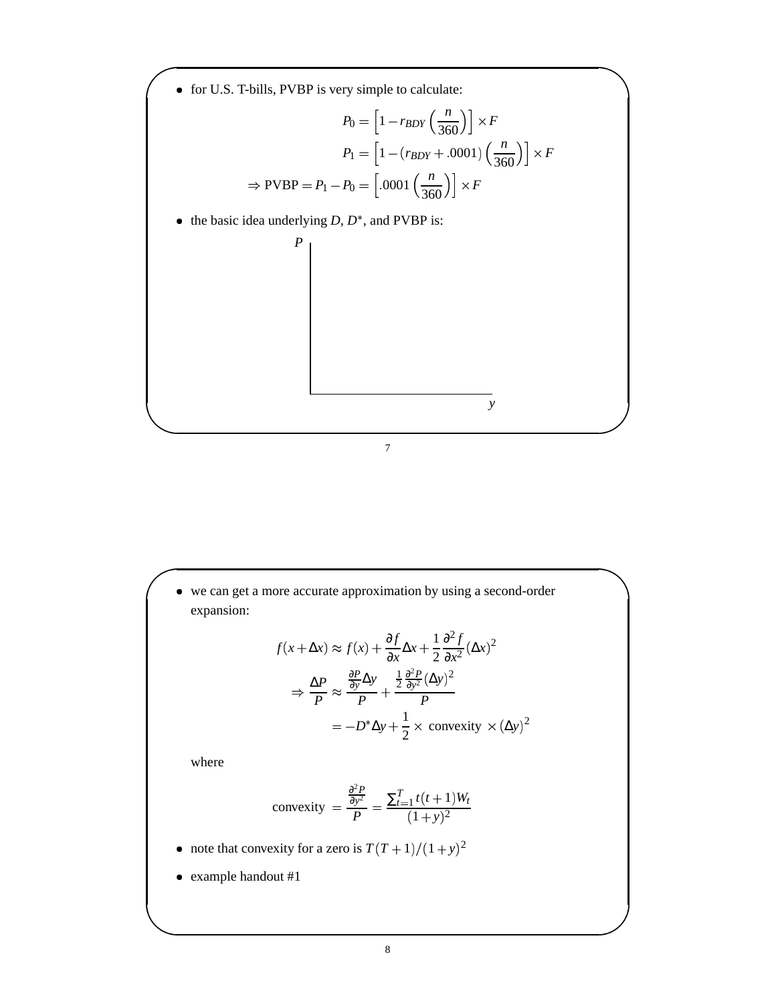

 we can get a more accurate approximation by using a second-order expansion:

$$
f(x + \Delta x) \approx f(x) + \frac{\partial f}{\partial x} \Delta x + \frac{1}{2} \frac{\partial^2 f}{\partial x^2} (\Delta x)^2
$$
  

$$
\Rightarrow \frac{\Delta P}{P} \approx \frac{\frac{\partial P}{\partial y} \Delta y}{P} + \frac{\frac{1}{2} \frac{\partial^2 P}{\partial y^2} (\Delta y)^2}{P}
$$
  

$$
= -D^* \Delta y + \frac{1}{2} \times \text{ convexity} \times (\Delta y)^2
$$

where

$$
\text{convexity} = \frac{\frac{\partial^2 P}{\partial y^2}}{P} = \frac{\sum_{t=1}^T t(t+1)W_t}{(1+y)^2}
$$

- note that convexity for a zero is  $T(T+1)/(1+y)^2$
- example handout #1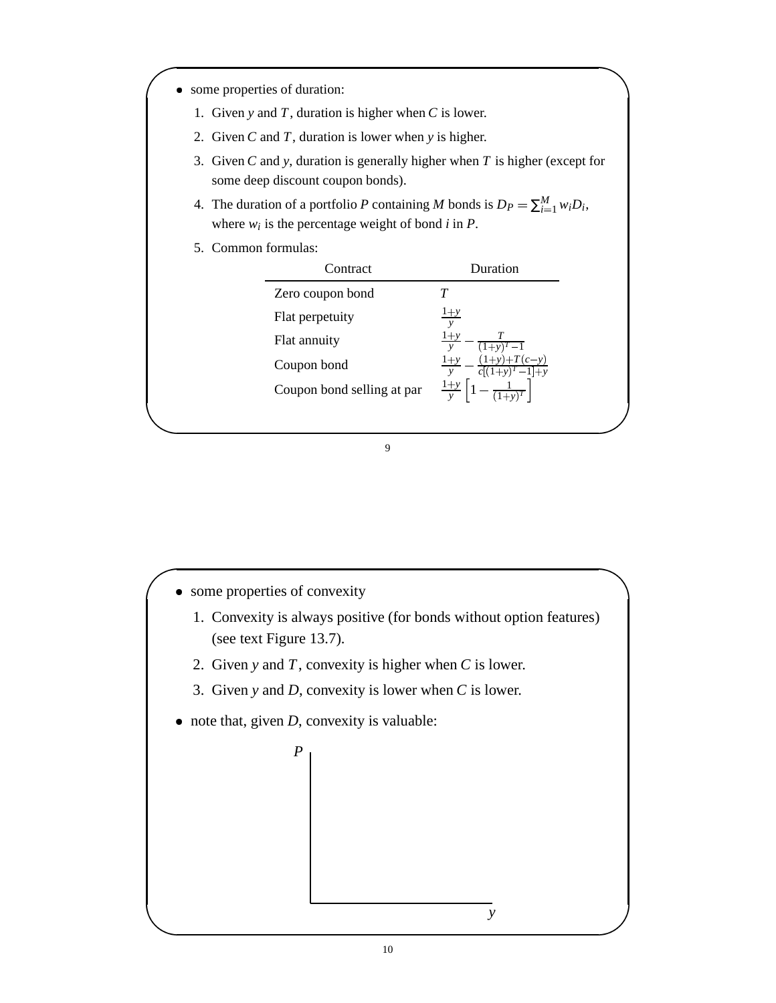- some properties of duration:
	- 1. Given *y* and *T*, duration is higher when *C* is lower.
	- 2. Given *C* and *T*, duration is lower when *y* is higher.
	- 3. Given *C* and *y*, duration is generally higher when *T* is higher (except for some deep discount coupon bonds).
	- 4. The duration of a portfolio *P* containing *M* bonds is  $D_P = \sum_{i=1}^{M} w_i D_i$ , where  $w_i$  is the percentage weight of bond  $i$  in  $P$ .
	- 5. Common formulas:

| Contract                   | Duration                |
|----------------------------|-------------------------|
| Zero coupon bond           |                         |
| Flat perpetuity            | $1+y$<br>$\mathbf{v}$   |
| Flat annuity               | $1+y$<br>$\mathbf{v}$   |
| Coupon bond                | $(1+y)+T(c-y)$<br>$1+y$ |
| Coupon bond selling at par | $rac{1+y}{y}$           |
|                            |                         |

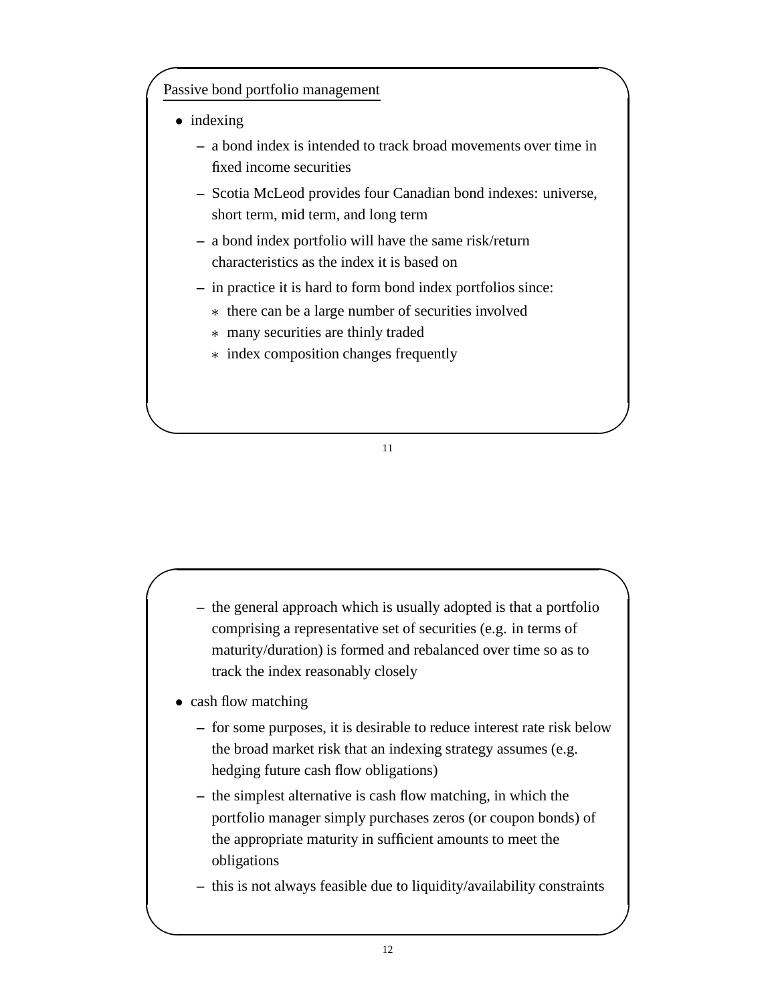# Passive bond portfolio management

- indexing
	- **–** a bond index is intended to track broad movements over time in fixed income securities
	- **–** Scotia McLeod provides four Canadian bond indexes: universe, short term, mid term, and long term
	- **–** a bond index portfolio will have the same risk/return characteristics as the index it is based on
	- **–** in practice it is hard to form bond index portfolios since:
		- there can be a large number of securities involved
		- many securities are thinly traded
		- index composition changes frequently

- **–** the general approach which is usually adopted is that a portfolio comprising a representative set of securities (e.g. in terms of maturity/duration) is formed and rebalanced over time so as to track the index reasonably closely
- cash flow matching
	- **–** for some purposes, it is desirable to reduce interest rate risk below the broad market risk that an indexing strategy assumes (e.g. hedging future cash flow obligations)
	- **–** the simplest alternative is cash flow matching, in which the portfolio manager simply purchases zeros (or coupon bonds) of the appropriate maturity in sufficient amounts to meet the obligations
	- **–** this is not always feasible due to liquidity/availability constraints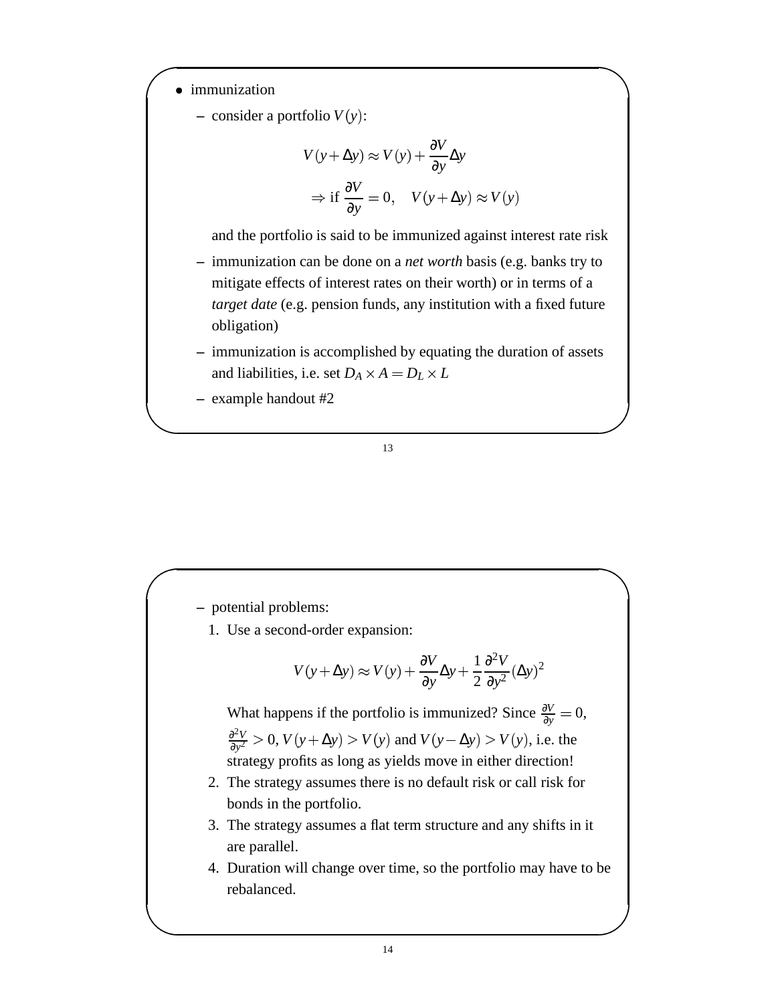- immunization
	- $-$  consider a portfolio  $V(y)$ :

$$
V(y + \Delta y) \approx V(y) + \frac{\partial V}{\partial y} \Delta y
$$
  
\n
$$
\Rightarrow \text{if } \frac{\partial V}{\partial y} = 0, \quad V(y + \Delta y) \approx V(y)
$$

and the portfolio is said to be immunized against interest rate risk

- **–** immunization can be done on a *net worth* basis (e.g. banks try to mitigate effects of interest rates on their worth) or in terms of a *target date* (e.g. pension funds, any institution with a fixed future obligation)
- **–** immunization is accomplished by equating the duration of assets and liabilities, i.e. set  $D_A \times A = D_L \times L$
- **–** example handout #2

### 13

**–** potential problems:

1. Use a second-order expansion:

$$
V(y + \Delta y) \approx V(y) + \frac{\partial V}{\partial y} \Delta y + \frac{1}{2} \frac{\partial^2 V}{\partial y^2} (\Delta y)^2
$$

What happens if the portfolio is immunized? Since  $\frac{\partial V}{\partial y} = 0$ , ∂ 2*V*  $\frac{\partial^2 V}{\partial y^2} > 0$ ,  $V(y + \Delta y) > V(y)$  and  $V(y - \Delta y) > V(y)$ , i.e. the strategy profits as long as yields move in either direction!

- 2. The strategy assumes there is no default risk or call risk for bonds in the portfolio.
- 3. The strategy assumes a flat term structure and any shifts in it are parallel.
- 4. Duration will change over time, so the portfolio may have to be rebalanced.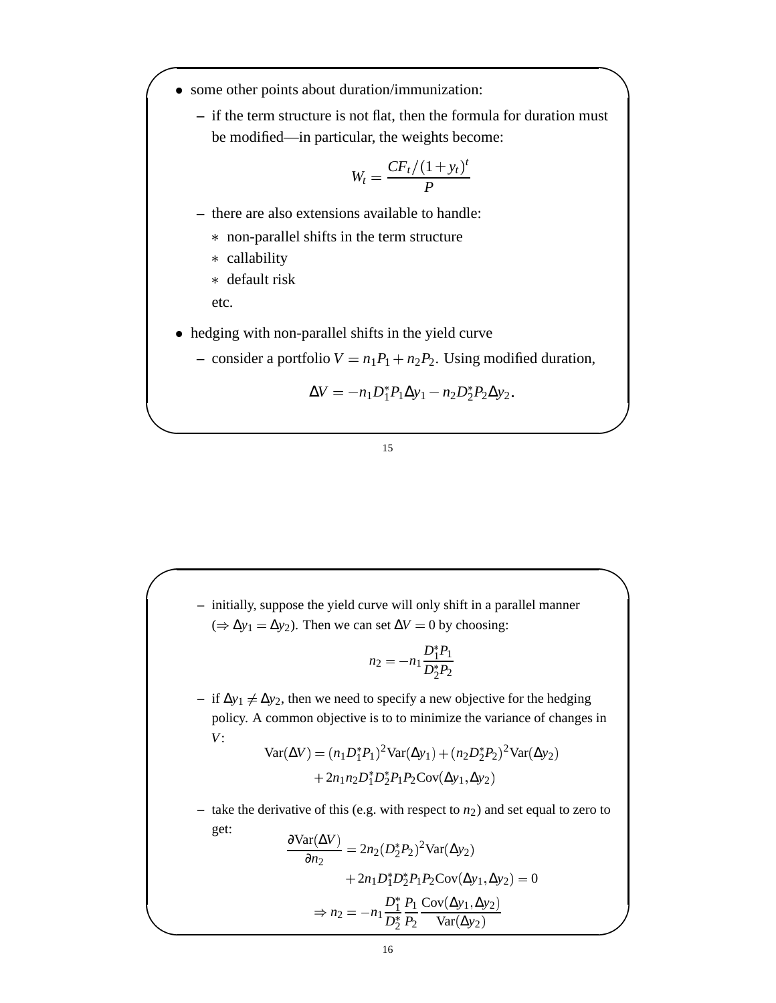- some other points about duration/immunization:
	- **–** if the term structure is not flat, then the formula for duration must be modified—in particular, the weights become:

$$
W_t = \frac{CF_t/(1+y_t)^t}{P}
$$

- **–** there are also extensions available to handle:
	- non-parallel shifts in the term structure
	- callability
	- default risk

etc.

- hedging with non-parallel shifts in the yield curve
	- $\sim$  consider a portfolio  $V = n_1 P_1 + n_2 P_2$ . Using modified duration,

$$
\Delta V = -n_1 D_1^* P_1 \Delta y_1 - n_2 D_2^* P_2 \Delta y_2.
$$

15

**–** initially, suppose the yield curve will only shift in a parallel manner  $(⇒ Δy<sub>1</sub> = Δy<sub>2</sub>)$ . Then we can set  $ΔV = 0$  by choosing:

$$
n_2 = -n_1 \frac{D_1^* P_1}{D_2^* P_2}
$$

 $-$  if  $Δy_1 ≠ Δy_2$ , then we need to specify a new objective for the hedging policy. A common objective is to to minimize the variance of changes in *V*:

$$
Var(\Delta V) = (n_1 D_1^* P_1)^2 Var(\Delta y_1) + (n_2 D_2^* P_2)^2 Var(\Delta y_2) + 2n_1 n_2 D_1^* D_2^* P_1 P_2 Cov(\Delta y_1, \Delta y_2)
$$

– take the derivative of this (e.g. with respect to  $n_2$ ) and set equal to zero to get:

$$
\frac{\partial \text{Var}(\Delta V)}{\partial n_2} = 2n_2 (D_2^* P_2)^2 \text{Var}(\Delta y_2)
$$

$$
+ 2n_1 D_1^* D_2^* P_1 P_2 \text{Cov}(\Delta y_1, \Delta y_2) = 0
$$

$$
\Rightarrow n_2 = -n_1 \frac{D_1^*}{D_2^*} \frac{P_1}{P_2} \frac{\text{Cov}(\Delta y_1, \Delta y_2)}{\text{Var}(\Delta y_2)}
$$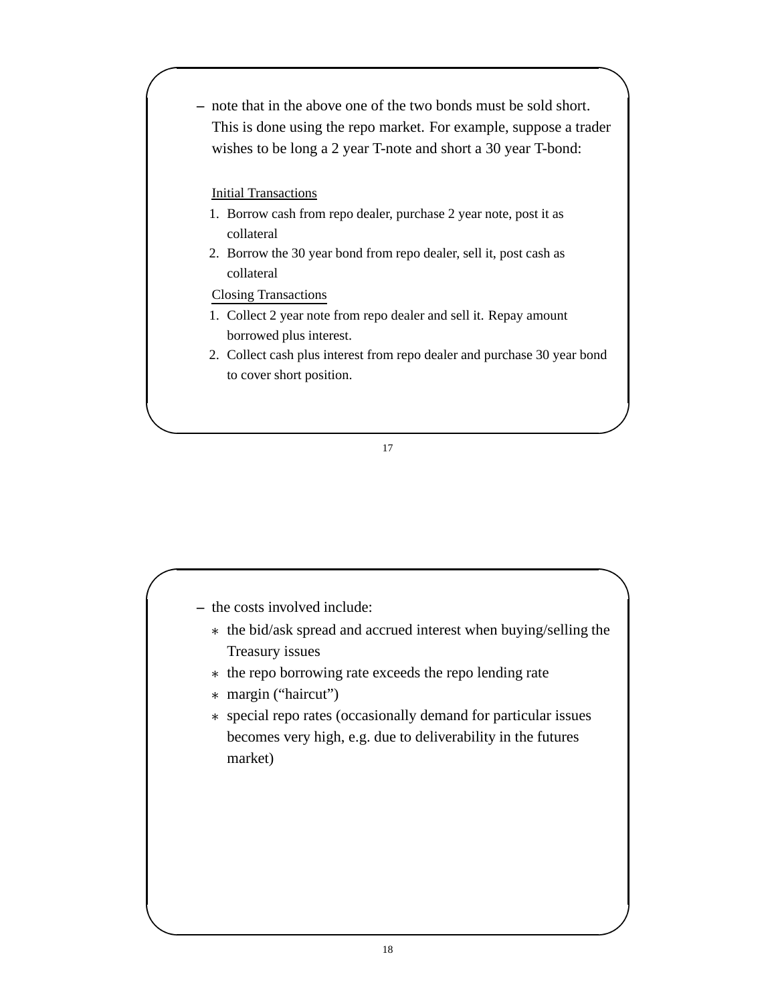**–** note that in the above one of the two bonds must be sold short. This is done using the repo market. For example, suppose a trader wishes to be long a 2 year T-note and short a 30 year T-bond:

## Initial Transactions

- 1. Borrow cash from repo dealer, purchase 2 year note, post it as collateral
- 2. Borrow the 30 year bond from repo dealer, sell it, post cash as collateral

## Closing Transactions

- 1. Collect 2 year note from repo dealer and sell it. Repay amount borrowed plus interest.
- 2. Collect cash plus interest from repo dealer and purchase 30 year bond to cover short position.

- **–** the costs involved include:
	- the bid/ask spread and accrued interest when buying/selling the Treasury issues
	- \* the repo borrowing rate exceeds the repo lending rate
	- margin ("haircut")
	- special repo rates (occasionally demand for particular issues becomes very high, e.g. due to deliverability in the futures market)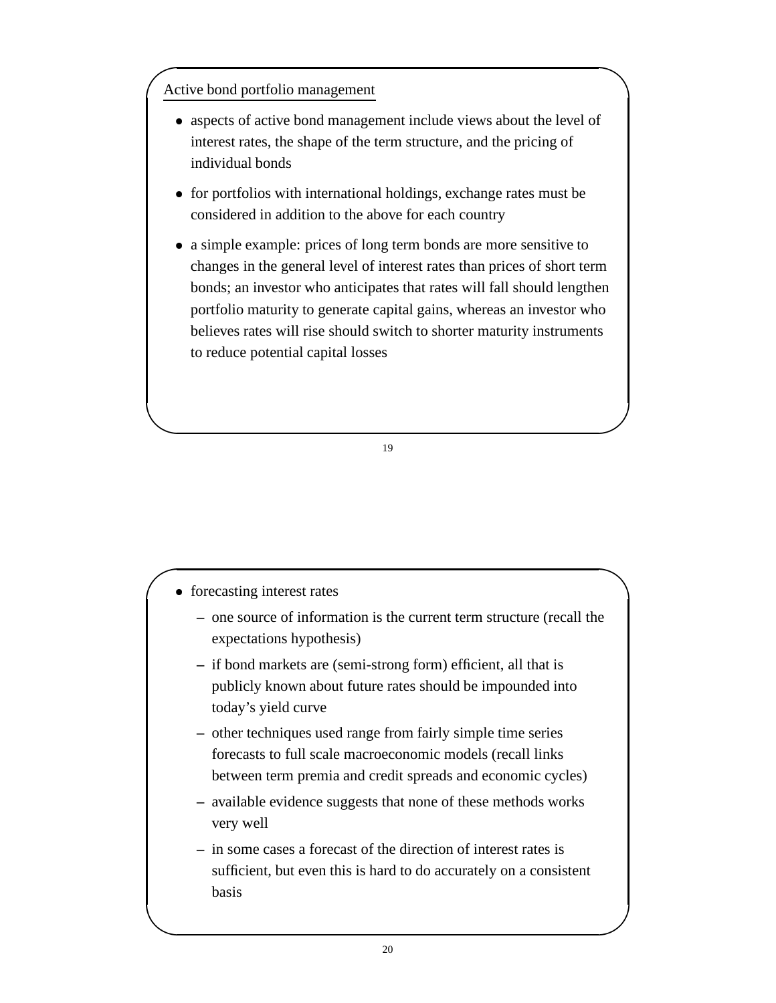# Active bond portfolio management

- aspects of active bond management include views about the level of interest rates, the shape of the term structure, and the pricing of individual bonds
- for portfolios with international holdings, exchange rates must be considered in addition to the above for each country
- a simple example: prices of long term bonds are more sensitive to changes in the general level of interest rates than prices of short term bonds; an investor who anticipates that rates will fall should lengthen portfolio maturity to generate capital gains, whereas an investor who believes rates will rise should switch to shorter maturity instruments to reduce potential capital losses

- forecasting interest rates
	- **–** one source of information is the current term structure (recall the expectations hypothesis)
	- **–** if bond markets are (semi-strong form) efficient, all that is publicly known about future rates should be impounded into today's yield curve
	- **–** other techniques used range from fairly simple time series forecasts to full scale macroeconomic models (recall links between term premia and credit spreads and economic cycles)
	- **–** available evidence suggests that none of these methods works very well
	- **–** in some cases a forecast of the direction of interest rates is sufficient, but even this is hard to do accurately on a consistent basis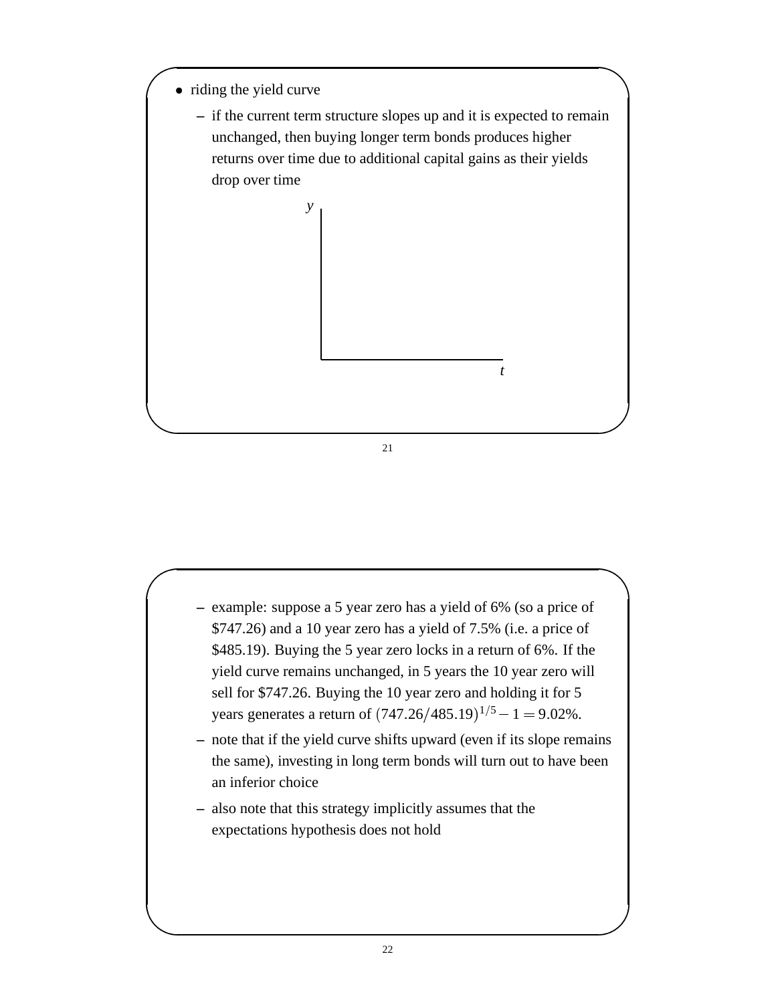• riding the yield curve





- **–** example: suppose a 5 year zero has a yield of 6% (so a price of \$747.26) and a 10 year zero has a yield of 7.5% (i.e. a price of \$485.19). Buying the 5 year zero locks in a return of 6%. If the yield curve remains unchanged, in 5 years the 10 year zero will sell for \$747.26. Buying the 10 year zero and holding it for 5 years generates a return of  $(747.26/485.19)^{1/5} - 1 = 9.02\%$ .
- **–** note that if the yield curve shifts upward (even if its slope remains the same), investing in long term bonds will turn out to have been an inferior choice
- **–** also note that this strategy implicitly assumes that the expectations hypothesis does not hold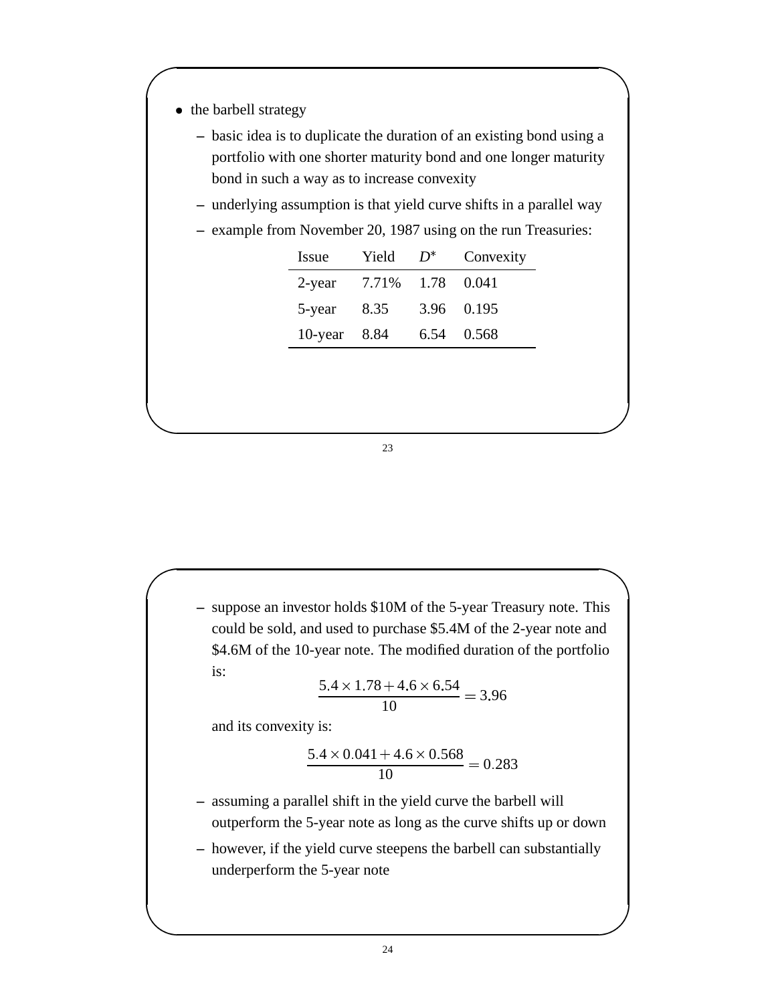- the barbell strategy
	- **–** basic idea is to duplicate the duration of an existing bond using a portfolio with one shorter maturity bond and one longer maturity bond in such a way as to increase convexity
	- **–** underlying assumption is that yield curve shifts in a parallel way
	- **–** example from November 20, 1987 using on the run Treasuries:

| Issue        | Yield | $D^*$ | Convexity  |
|--------------|-------|-------|------------|
| 2-year       | 7.71% |       | 1.78 0.041 |
| 5-year       | 8.35  |       | 3.96 0.195 |
| 10-year 8.84 |       | 6.54  | 0.568      |

**–** suppose an investor holds \$10M of the 5-year Treasury note. This could be sold, and used to purchase \$5.4M of the 2-year note and \$4.6M of the 10-year note. The modified duration of the portfolio is:

$$
\frac{5.4 \times 1.78 + 4.6 \times 6.54}{10} = 3.96
$$

and its convexity is:

$$
\frac{5.4 \times 0.041 + 4.6 \times 0.568}{10} = 0.283
$$

- **–** assuming a parallel shift in the yield curve the barbell will outperform the 5-year note as long as the curve shifts up or down
- **–** however, if the yield curve steepens the barbell can substantially underperform the 5-year note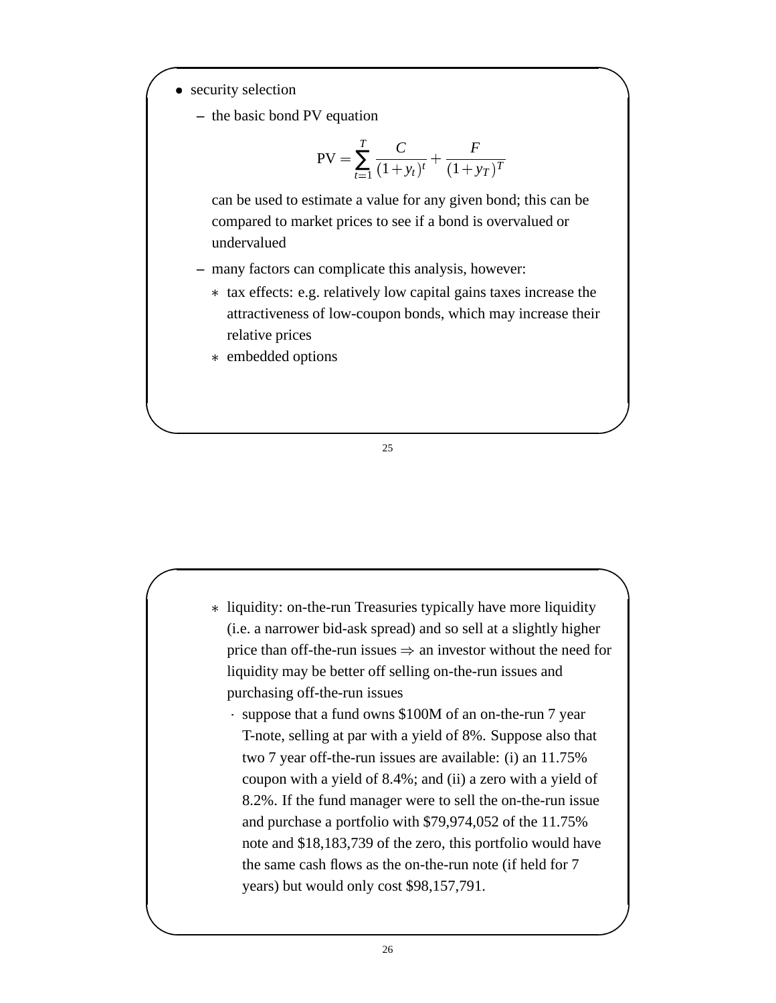- security selection
	- **–** the basic bond PV equation

$$
PV = \sum_{t=1}^{T} \frac{C}{(1+y_t)^t} + \frac{F}{(1+y_T)^T}
$$

can be used to estimate a value for any given bond; this can be compared to market prices to see if a bond is overvalued or undervalued

- **–** many factors can complicate this analysis, however:
	- tax effects: e.g. relatively low capital gains taxes increase the attractiveness of low-coupon bonds, which may increase their relative prices
	- embedded options

- liquidity: on-the-run Treasuries typically have more liquidity (i.e. a narrower bid-ask spread) and so sell at a slightly higher price than off-the-run issues  $\Rightarrow$  an investor without the need for liquidity may be better off selling on-the-run issues and purchasing off-the-run issues
	- suppose that a fund owns \$100M of an on-the-run 7 year T-note, selling at par with a yield of 8%. Suppose also that two 7 year off-the-run issues are available: (i) an 11.75% coupon with a yield of 8.4%; and (ii) a zero with a yield of 8.2%. If the fund manager were to sell the on-the-run issue and purchase a portfolio with \$79,974,052 of the 11.75% note and \$18,183,739 of the zero, this portfolio would have the same cash flows as the on-the-run note (if held for 7 years) but would only cost \$98,157,791.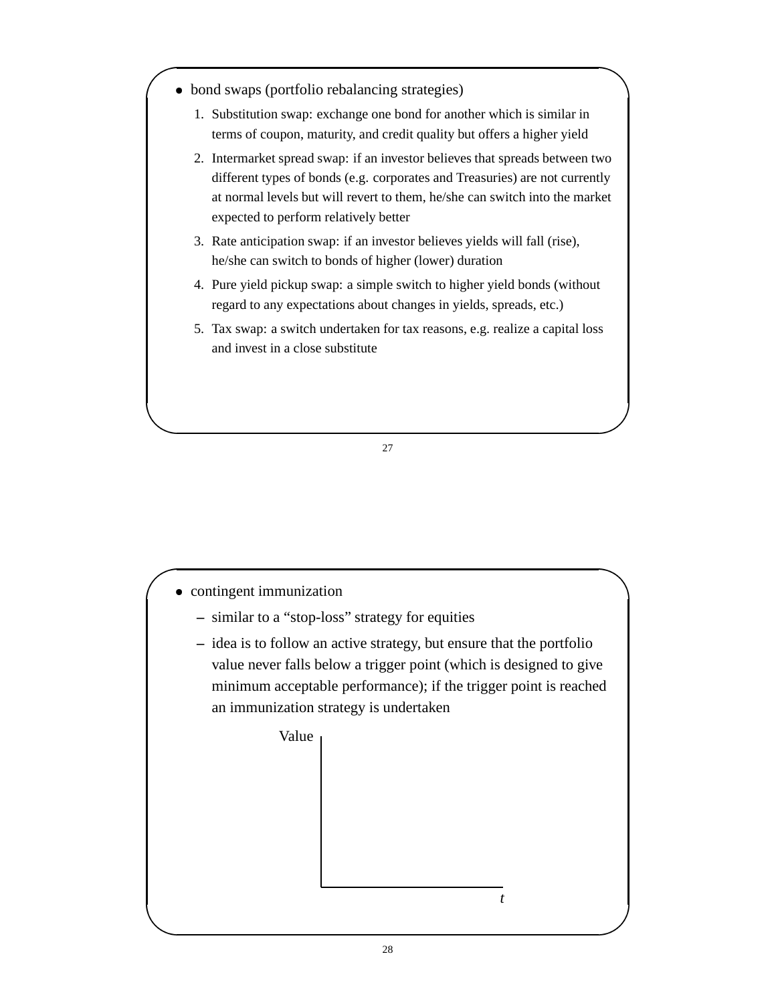- bond swaps (portfolio rebalancing strategies)
	- 1. Substitution swap: exchange one bond for another which is similar in terms of coupon, maturity, and credit quality but offers a higher yield
	- 2. Intermarket spread swap: if an investor believes that spreads between two different types of bonds (e.g. corporates and Treasuries) are not currently at normal levels but will revert to them, he/she can switch into the market expected to perform relatively better
	- 3. Rate anticipation swap: if an investor believes yields will fall (rise), he/she can switch to bonds of higher (lower) duration
	- 4. Pure yield pickup swap: a simple switch to higher yield bonds (without regard to any expectations about changes in yields, spreads, etc.)
	- 5. Tax swap: a switch undertaken for tax reasons, e.g. realize a capital loss and invest in a close substitute



- **–** similar to a "stop-loss" strategy for equities
- **–** idea is to follow an active strategy, but ensure that the portfolio value never falls below a trigger point (which is designed to give minimum acceptable performance); if the trigger point is reached an immunization strategy is undertaken



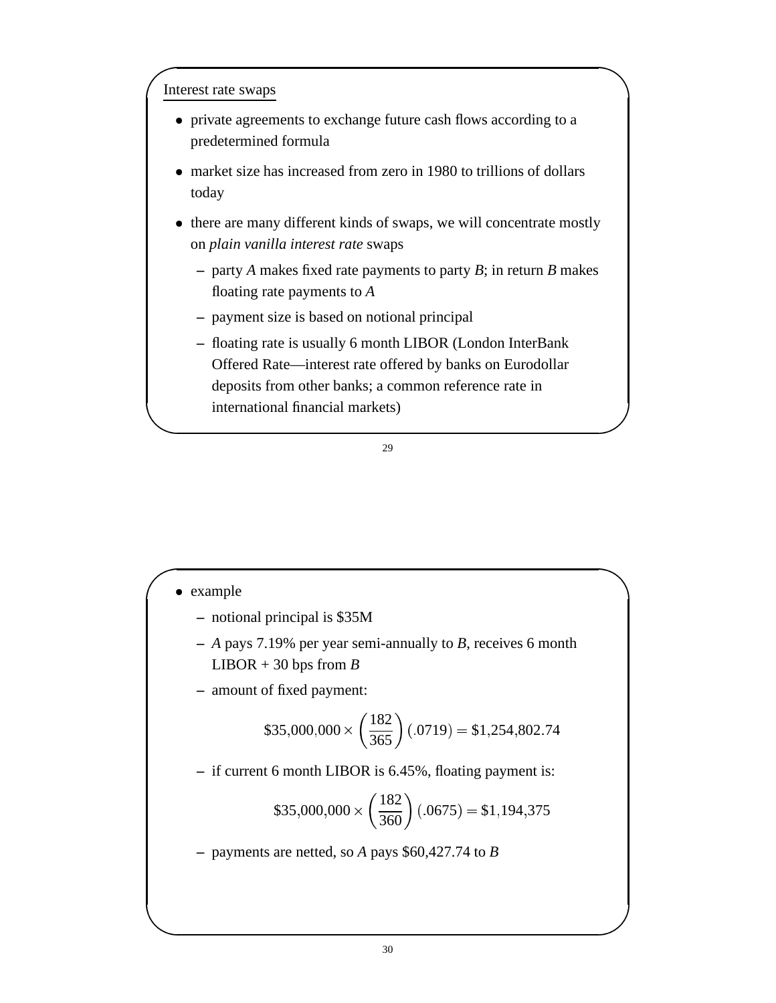## Interest rate swaps

- private agreements to exchange future cash flows according to a predetermined formula
- market size has increased from zero in 1980 to trillions of dollars today
- there are many different kinds of swaps, we will concentrate mostly on *plain vanilla interest rate* swaps
	- **–** party *A* makes fixed rate payments to party *B*; in return *B* makes floating rate payments to *A*
	- **–** payment size is based on notional principal
	- **–** floating rate is usually 6 month LIBOR (London InterBank Offered Rate—interest rate offered by banks on Eurodollar deposits from other banks; a common reference rate in international financial markets)

### 29

- example
	- **–** notional principal is \$35M
	- **–** *A* pays 7.19% per year semi-annually to *B*, receives 6 month LIBOR  $+30$  bps from *B*
	- **–** amount of fixed payment:

$$
$35,000,000 \times \left(\frac{182}{365}\right)(.0719) = $1,254,802.74
$$

**–** if current 6 month LIBOR is 6.45%, floating payment is:

$$
$35,000,000 \times \left(\frac{182}{360}\right)(.0675) = $1,194,375
$$

**–** payments are netted, so *A* pays \$60,427.74 to *B*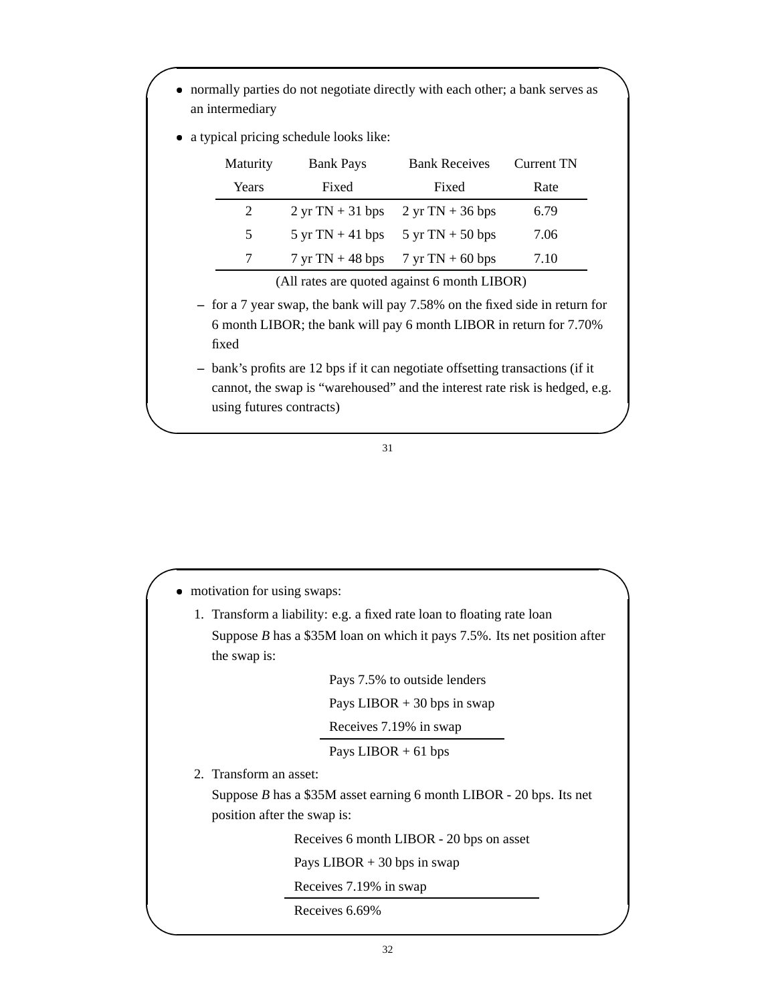|          | • a typical pricing schedule looks like:   |                                                                                       |                   |
|----------|--------------------------------------------|---------------------------------------------------------------------------------------|-------------------|
| Maturity | <b>Bank Pays</b>                           | <b>Bank Receives</b>                                                                  | <b>Current TN</b> |
| Years    | Fixed                                      | Fixed                                                                                 | Rate              |
| 2        | $2 \text{ yr} \text{ TN} + 31 \text{ bps}$ | $2 \text{ yr} \text{ TN} + 36 \text{ bps}$                                            | 6.79              |
| 5        | $5 \text{ yr} \text{ TN} + 41 \text{ bps}$ | $5 \text{ yr} \text{ TN} + 50 \text{ bps}$                                            | 7.06              |
| 7        |                                            | $7 \text{ yr} \text{ TN} + 48 \text{ bps}$ $7 \text{ yr} \text{ TN} + 60 \text{ bps}$ | 7.10              |

6 month LIBOR; the bank will pay 6 month LIBOR in return for 7.70% fixed

**–** bank's profits are 12 bps if it can negotiate offsetting transactions (if it cannot, the swap is "warehoused" and the interest rate risk is hedged, e.g. using futures contracts)

| • motivation for using swaps: |                                                                            |  |  |
|-------------------------------|----------------------------------------------------------------------------|--|--|
|                               | 1. Transform a liability: e.g. a fixed rate loan to floating rate loan     |  |  |
|                               | Suppose $B$ has a \$35M loan on which it pays 7.5%. Its net position after |  |  |
| the swap is:                  |                                                                            |  |  |
|                               | Pays 7.5% to outside lenders                                               |  |  |
|                               | Pays LIBOR $+30$ bps in swap                                               |  |  |
|                               | Receives 7.19% in swap                                                     |  |  |
|                               | Pays LIBOR $+$ 61 bps                                                      |  |  |
| 2. Transform an asset:        |                                                                            |  |  |
|                               | Suppose $B$ has a \$35M asset earning 6 month LIBOR - 20 bps. Its net      |  |  |
|                               | position after the swap is:                                                |  |  |
|                               | Receives 6 month LIBOR - 20 bps on asset                                   |  |  |
|                               | Pays LIBOR $+30$ bps in swap                                               |  |  |
|                               | Receives 7.19% in swap                                                     |  |  |
|                               | Receives 6.69%                                                             |  |  |
|                               |                                                                            |  |  |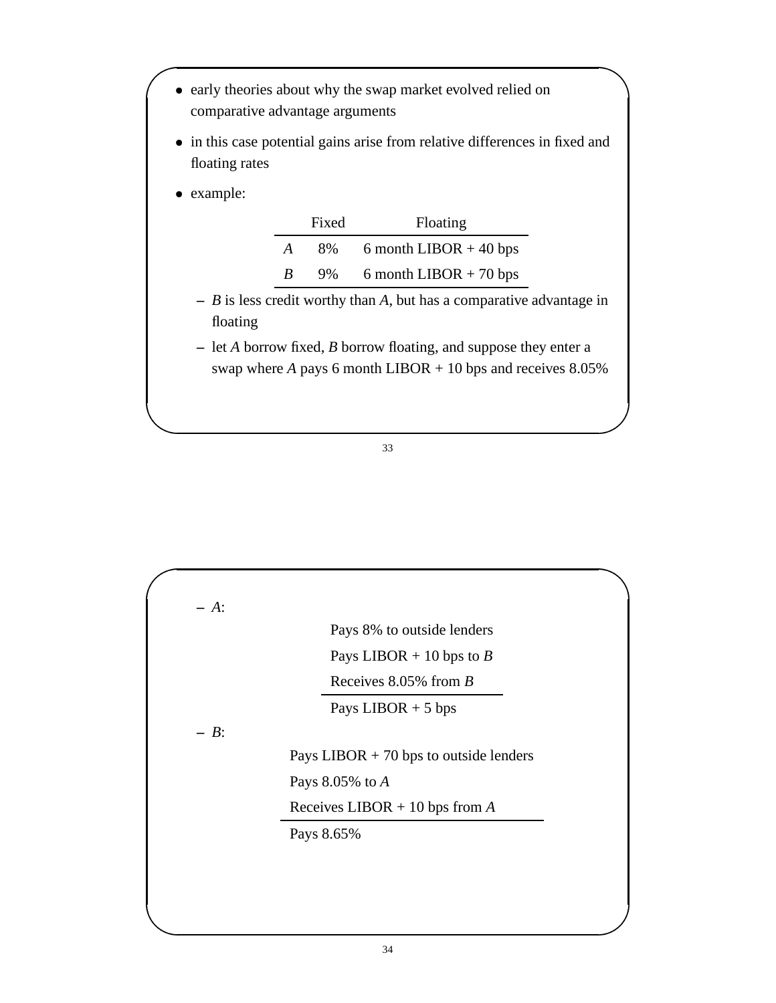- early theories about why the swap market evolved relied on comparative advantage arguments
- in this case potential gains arise from relative differences in fixed and floating rates
- example:

|                  | Fixed | Floating                 |
|------------------|-------|--------------------------|
| $\boldsymbol{A}$ | 8%    | 6 month LIBOR $+$ 40 bps |
| R                | 9%    | 6 month LIBOR $+$ 70 bps |

- **–** *B* is less credit worthy than *A*, but has a comparative advantage in floating
- **–** let *A* borrow fixed, *B* borrow floating, and suppose they enter a swap where  $A$  pays 6 month LIBOR  $+$  10 bps and receives 8.05%

|         | Pays 8% to outside lenders               |  |  |
|---------|------------------------------------------|--|--|
|         | Pays LIBOR + 10 bps to B                 |  |  |
|         | Receives $8.05\%$ from B                 |  |  |
|         | Pays LIBOR $+5$ bps                      |  |  |
| $- B$ : |                                          |  |  |
|         | Pays LIBOR $+ 70$ bps to outside lenders |  |  |
|         | Pays $8.05\%$ to A                       |  |  |
|         | Receives LIBOR + 10 bps from $A$         |  |  |
|         | Pays 8.65%                               |  |  |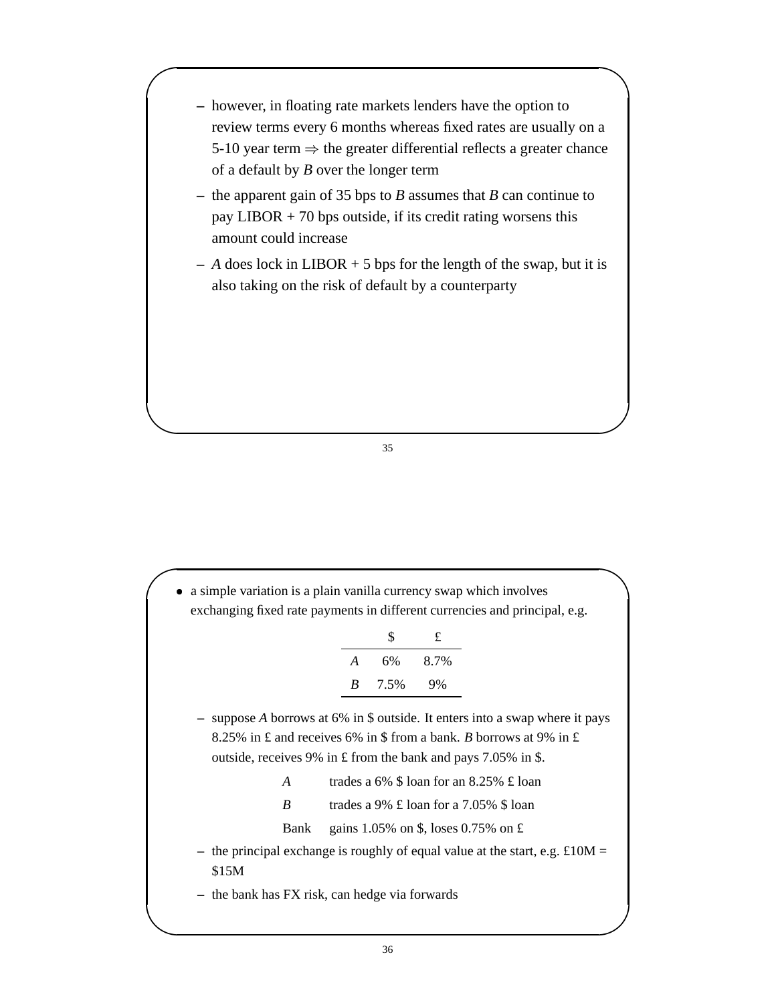- **–** however, in floating rate markets lenders have the option to review terms every 6 months whereas fixed rates are usually on a 5-10 year term  $\Rightarrow$  the greater differential reflects a greater chance of a default by *B* over the longer term
- **–** the apparent gain of 35 bps to *B* assumes that *B* can continue to pay LIBOR  $+ 70$  bps outside, if its credit rating worsens this amount could increase
- **–** *A* does lock in LIBOR + 5 bps for the length of the swap, but it is also taking on the risk of default by a counterparty

 a simple variation is a plain vanilla currency swap which involves exchanging fixed rate payments in different currencies and principal, e.g.

|   | S    | £    |
|---|------|------|
| A | 6%   | 8.7% |
| R | 7.5% | 9%   |

- **–** suppose *A* borrows at 6% in \$ outside. It enters into a swap where it pays 8.25% in £ and receives 6% in \$ from a bank. *B* borrows at 9% in £ outside, receives 9% in £ from the bank and pays 7.05% in \$.
	- *A* trades a 6% \$ loan for an 8.25% £ loan

*B* trades a 9% £ loan for a 7.05% \$ loan

Bank gains 1.05% on \$, loses 0.75% on £

- **–** the principal exchange is roughly of equal value at the start, e.g. £10M = \$15M
- **–** the bank has FX risk, can hedge via forwards